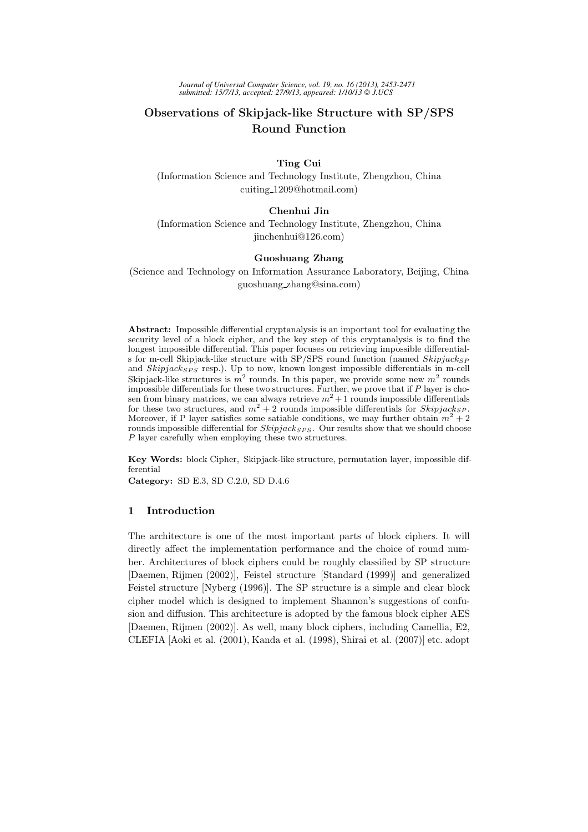*Journal of Universal Computer Science, vol. 19, no. 16 (2013), 2453-2471 submitted: 15/7/13, accepted: 27/9/13, appeared: 1/10/13 J.UCS*

# Observations of Skipjack-like Structure with SP/SPS Round Function

Ting Cui (Information Science and Technology Institute, Zhengzhou, China cuiting 1209@hotmail.com)

## Chenhui Jin

(Information Science and Technology Institute, Zhengzhou, China jinchenhui@126.com)

## Guoshuang Zhang

(Science and Technology on Information Assurance Laboratory, Beijing, China guoshuang zhang@sina.com)

Abstract: Impossible differential cryptanalysis is an important tool for evaluating the security level of a block cipher, and the key step of this cryptanalysis is to find the longest impossible differential. This paper focuses on retrieving impossible differentials for m-cell Skipjack-like structure with SP/SPS round function (named  $Skipjack_{SP}$ and  $Skipjack_{SPS}$  resp.). Up to now, known longest impossible differentials in m-cell Skipjack-like structures is  $m^2$  rounds. In this paper, we provide some new  $m^2$  rounds impossible differentials for these two structures. Further, we prove that if  $P$  layer is chosen from binary matrices, we can always retrieve  $m^2 + 1$  rounds impossible differentials for these two structures, and  $m^2 + 2$  rounds impossible differentials for Skipjack<sub>SP</sub>. Moreover, if P layer satisfies some satiable conditions, we may further obtain  $m^2 + 2$ rounds impossible differential for  $Skipjack_{SPS}$ . Our results show that we should choose P layer carefully when employing these two structures.

Key Words: block Cipher, Skipjack-like structure, permutation layer, impossible differential

Category: SD E.3, SD C.2.0, SD D.4.6

## 1 Introduction

The architecture is one of the most important parts of block ciphers. It will directly affect the implementation performance and the choice of round number. Architectures of block ciphers could be roughly classified by SP structure [Daemen, Rijmen (2002)], Feistel structure [Standard (1999)] and generalized Feistel structure [Nyberg (1996)]. The SP structure is a simple and clear block cipher model which is designed to implement Shannon's suggestions of confusion and diffusion. This architecture is adopted by the famous block cipher AES [Daemen, Rijmen (2002)]. As well, many block ciphers, including Camellia, E2, CLEFIA [Aoki et al. (2001), Kanda et al. (1998), Shirai et al. (2007)] etc. adopt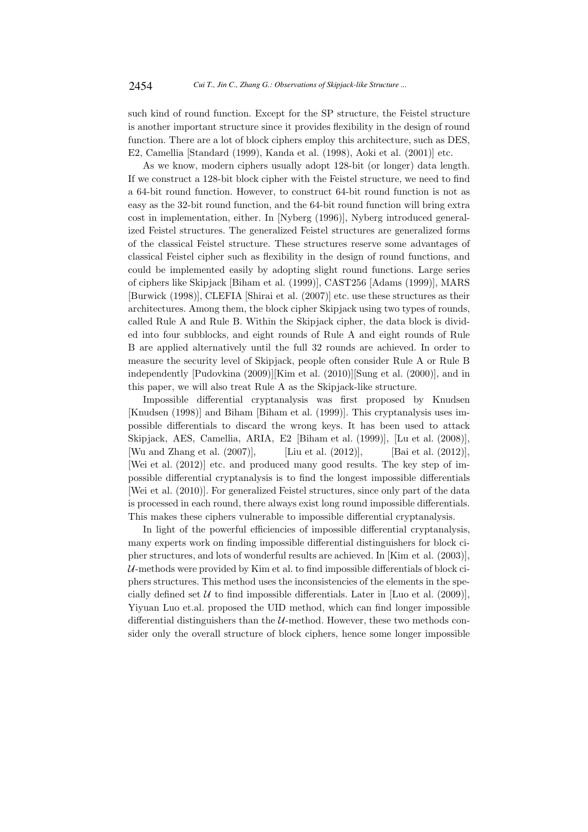such kind of round function. Except for the SP structure, the Feistel structure is another important structure since it provides flexibility in the design of round function. There are a lot of block ciphers employ this architecture, such as DES, E2, Camellia [Standard (1999), Kanda et al. (1998), Aoki et al. (2001)] etc.

As we know, modern ciphers usually adopt 128-bit (or longer) data length. If we construct a 128-bit block cipher with the Feistel structure, we need to find a 64-bit round function. However, to construct 64-bit round function is not as easy as the 32-bit round function, and the 64-bit round function will bring extra cost in implementation, either. In [Nyberg (1996)], Nyberg introduced generalized Feistel structures. The generalized Feistel structures are generalized forms of the classical Feistel structure. These structures reserve some advantages of classical Feistel cipher such as flexibility in the design of round functions, and could be implemented easily by adopting slight round functions. Large series of ciphers like Skipjack [Biham et al. (1999)], CAST256 [Adams (1999)], MARS [Burwick (1998)], CLEFIA [Shirai et al. (2007)] etc. use these structures as their architectures. Among them, the block cipher Skipjack using two types of rounds, called Rule A and Rule B. Within the Skipjack cipher, the data block is divided into four subblocks, and eight rounds of Rule A and eight rounds of Rule B are applied alternatively until the full 32 rounds are achieved. In order to measure the security level of Skipjack, people often consider Rule A or Rule B independently [Pudovkina (2009)][Kim et al. (2010)][Sung et al. (2000)], and in this paper, we will also treat Rule A as the Skipjack-like structure.

Impossible differential cryptanalysis was first proposed by Knudsen [Knudsen (1998)] and Biham [Biham et al. (1999)]. This cryptanalysis uses impossible differentials to discard the wrong keys. It has been used to attack Skipjack, AES, Camellia, ARIA, E2 [Biham et al. (1999)], [Lu et al. (2008)], [Wu and Zhang et al. (2007)], [Liu et al. (2012)], [Bai et al. (2012)], [Wei et al. (2012)] etc. and produced many good results. The key step of impossible differential cryptanalysis is to find the longest impossible differentials [Wei et al. (2010)]. For generalized Feistel structures, since only part of the data is processed in each round, there always exist long round impossible differentials. This makes these ciphers vulnerable to impossible differential cryptanalysis.

In light of the powerful efficiencies of impossible differential cryptanalysis, many experts work on finding impossible differential distinguishers for block cipher structures, and lots of wonderful results are achieved. In [Kim et al. (2003)],  $U$ -methods were provided by Kim et al. to find impossible differentials of block ciphers structures. This method uses the inconsistencies of the elements in the specially defined set  $U$  to find impossible differentials. Later in [Luo et al. (2009)], Yiyuan Luo et.al. proposed the UID method, which can find longer impossible differential distinguishers than the  $U$ -method. However, these two methods consider only the overall structure of block ciphers, hence some longer impossible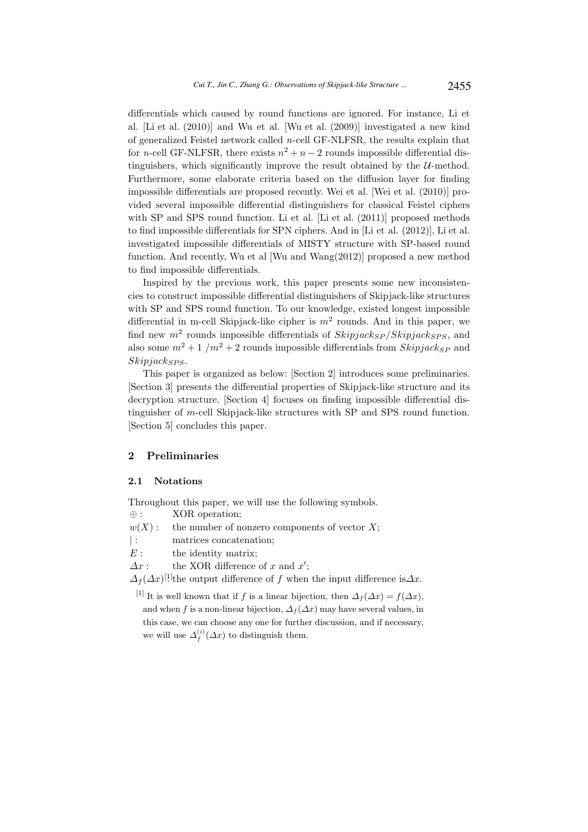differentials which caused by round functions are ignored. For instance, Li et al. [Li et al. (2010)] and Wu et al. [Wu et al. (2009)] investigated a new kind of generalized Feistel network called n-cell GF-NLFSR, the results explain that for *n*-cell GF-NLFSR, there exists  $n^2 + n - 2$  rounds impossible differential distinguishers, which significantly improve the result obtained by the  $U$ -method. Furthermore, some elaborate criteria based on the diffusion layer for finding impossible differentials are proposed recently. Wei et al. [Wei et al. (2010)] provided several impossible differential distinguishers for classical Feistel ciphers with SP and SPS round function. Li et al. [Li et al. (2011)] proposed methods to find impossible differentials for SPN ciphers. And in [Li et al. (2012)], Li et al. investigated impossible differentials of MISTY structure with SP-based round function. And recently, Wu et al [Wu and Wang(2012)] proposed a new method to find impossible differentials.

Inspired by the previous work, this paper presents some new inconsistencies to construct impossible differential distinguishers of Skipjack-like structures with SP and SPS round function. To our knowledge, existed longest impossible differential in m-cell Skipjack-like cipher is  $m^2$  rounds. And in this paper, we find new  $m^2$  rounds impossible differentials of  $Skipjack_{SP}/Skipjack_{SPS}$ , and also some  $m^2 + 1/m^2 + 2$  rounds impossible differentials from  $Skipjack_{SP}$  and  $Skipjack_{SPS}.$ 

This paper is organized as below: [Section 2] introduces some preliminaries. [Section 3] presents the differential properties of Skipjack-like structure and its decryption structure. [Section 4] focuses on finding impossible differential distinguisher of m-cell Skipjack-like structures with SP and SPS round function. [Section 5] concludes this paper.

## 2 Preliminaries

### 2.1 Notations

Throughout this paper, we will use the following symbols. ⊕ : XOR operation;

- $w(X)$ : the number of nonzero components of vector X;
- |: matrices concatenation;
- $E:$  the identity matrix;

 $\Delta x$ : the XOR difference of x and x';

 $\Delta_f(\Delta x)^{[1]}$  the output difference of f when the input difference is $\Delta x$ .

[1] It is well known that if f is a linear bijection, then  $\Delta_f(\Delta x) = f(\Delta x)$ , and when f is a non-linear bijection,  $\Delta_f(\Delta x)$  may have several values, in this case, we can choose any one for further discussion, and if necessary, we will use  $\Delta_f^{(i)}(\Delta x)$  to distinguish them.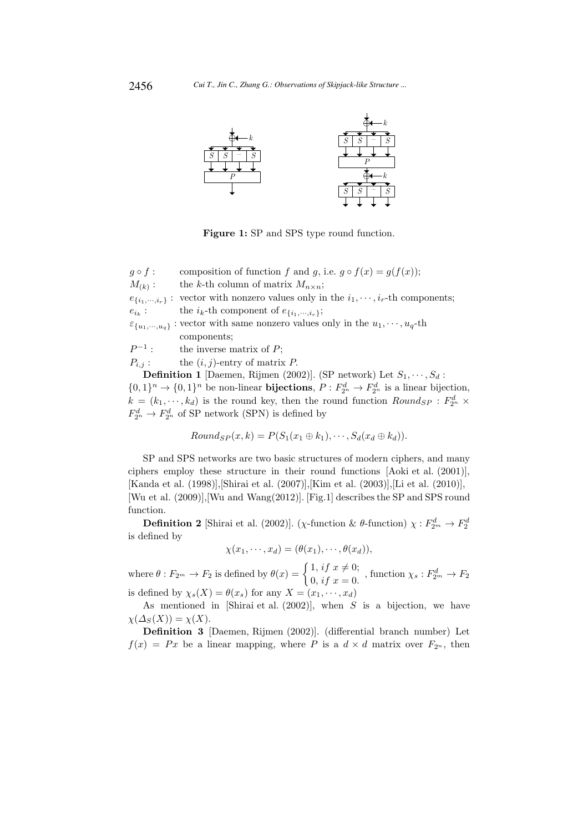

Figure 1: SP and SPS type round function.

 $g \circ f$ : composition of function f and g, i.e.  $g \circ f(x) = g(f(x));$  $M_{(k)}$ : the k-th column of matrix  $M_{n \times n}$ ;  $e_{\{i_1,\dots,i_r\}}$ : vector with nonzero values only in the  $i_1,\dots,i_r$ -th components;  $e_{i_k}$ : the  $i_k$ -th component of  $e_{\{i_1,\dots,i_r\}}$ ;  $\varepsilon_{\{u_1,\dots,u_q\}}$ : vector with same nonzero values only in the  $u_1,\dots,u_q$ -th components;  $P^{-1}$ the inverse matrix of  $P$ ;

 $P_{i,j}$ : the  $(i, j)$ -entry of matrix P.

**Definition 1** [Daemen, Rijmen (2002)]. (SP network) Let  $S_1, \dots, S_d$ :

 $\{0,1\}^n \to \{0,1\}^n$  be non-linear **bijections**,  $P: F_{2^n}^d \to F_{2^n}^d$  is a linear bijection,  $k = (k_1, \dots, k_d)$  is the round key, then the round function  $Round_{SP}$ :  $F_{2^n}^d$  ×  $F_{2^n}^d \rightarrow F_{2^n}^d$  of SP network (SPN) is defined by

$$
Round_{SP}(x,k) = P(S_1(x_1 \oplus k_1), \cdots, S_d(x_d \oplus k_d)).
$$

SP and SPS networks are two basic structures of modern ciphers, and many ciphers employ these structure in their round functions [Aoki et al. (2001)], [Kanda et al. (1998)],[Shirai et al. (2007)],[Kim et al. (2003)],[Li et al. (2010)], [Wu et al. (2009)],[Wu and Wang(2012)]. [Fig.1] describes the SP and SPS round function.

**Definition 2** [Shirai et al. (2002)]. ( $\chi$ -function &  $\theta$ -function)  $\chi : F_{2^m}^d \to F_2^d$ is defined by

$$
\chi(x_1,\cdots,x_d)=(\theta(x_1),\cdots,\theta(x_d)),
$$

where  $\theta : F_{2^m} \to F_2$  is defined by  $\theta(x) = \begin{cases} 1, & \text{if } x \neq 0; \\ 0, & \text{if } x = 0. \end{cases}$ 1,  $i, j, x \neq 0$ , function  $\chi_s : F_{2^m}^d \to F_2$ <br>0,  $if, x = 0$ . is defined by  $\chi_s(X) = \theta(x_s)$  for any  $X = (x_1, \dots, x_d)$ 

As mentioned in [Shirai et al.  $(2002)$ ], when S is a bijection, we have  $\chi(\Delta_S(X)) = \chi(X).$ 

Definition 3 [Daemen, Rijmen (2002)]. (differential branch number) Let  $f(x) = Px$  be a linear mapping, where P is a  $d \times d$  matrix over  $F_{2^n}$ , then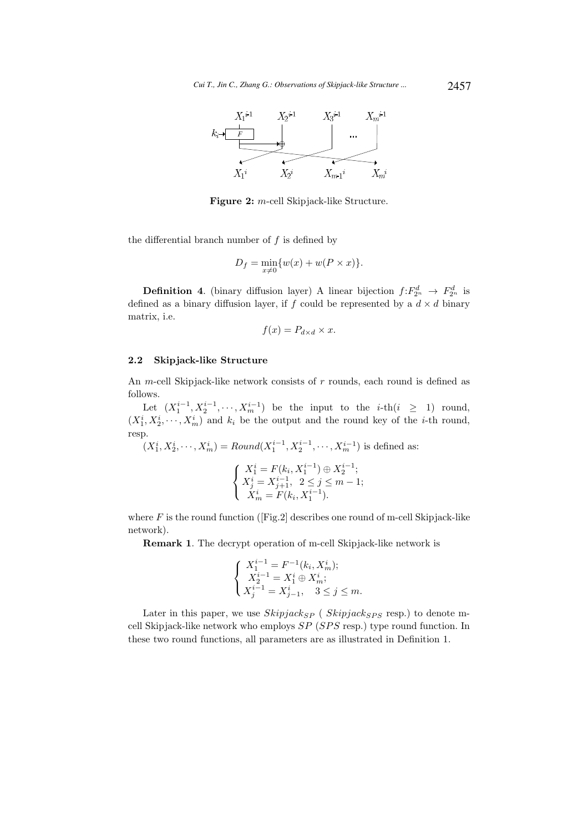

Figure 2: m-cell Skipjack-like Structure.

the differential branch number of  $f$  is defined by

$$
D_f = \min_{x \neq 0} \{w(x) + w(P \times x)\}.
$$

**Definition 4.** (binary diffusion layer) A linear bijection  $f: F_{2^n}^d \to F_{2^n}^d$  is defined as a binary diffusion layer, if f could be represented by a  $d \times d$  binary matrix, i.e.

$$
f(x) = P_{d \times d} \times x.
$$

### 2.2 Skipjack-like Structure

An *m*-cell Skipjack-like network consists of *r* rounds, each round is defined as follows.

Let  $(X_1^{i-1}, X_2^{i-1}, \dots, X_m^{i-1})$  be the input to the *i*-th $(i \geq 1)$  round,  $(X_1^i, X_2^i, \dots, X_m^i)$  and  $k_i$  be the output and the round key of the *i*-th round, resp.

 $(X_1^i, X_2^i, \dots, X_m^i) = Round(X_1^{i-1}, X_2^{i-1}, \dots, X_m^{i-1})$  is defined as:

$$
\begin{cases}\nX_1^i = F(k_i, X_1^{i-1}) \oplus X_2^{i-1}; \\
X_j^i = X_{j+1}^{i-1}, \quad 2 \le j \le m-1; \\
X_m^i = F(k_i, X_1^{i-1}).\n\end{cases}
$$

where  $F$  is the round function ([Fig.2] describes one round of m-cell Skipjack-like network).

Remark 1. The decrypt operation of m-cell Skipjack-like network is

$$
\left\{\begin{array}{l} X_{1}^{i-1}=F^{-1}(k_{i},X_{m}^{i});\\ X_{2}^{i-1}=X_{1}^{i}\oplus X_{m}^{i};\\ X_{j}^{i-1}=X_{j-1}^{i},\quad 3\leq j\leq m.\end{array}\right.
$$

Later in this paper, we use  $Skipjack_{SP}$  (  $Skipjack_{SPS}$  resp.) to denote mcell Skipjack-like network who employs  $SP(SPS \text{ resp.})$  type round function. In these two round functions, all parameters are as illustrated in Definition 1.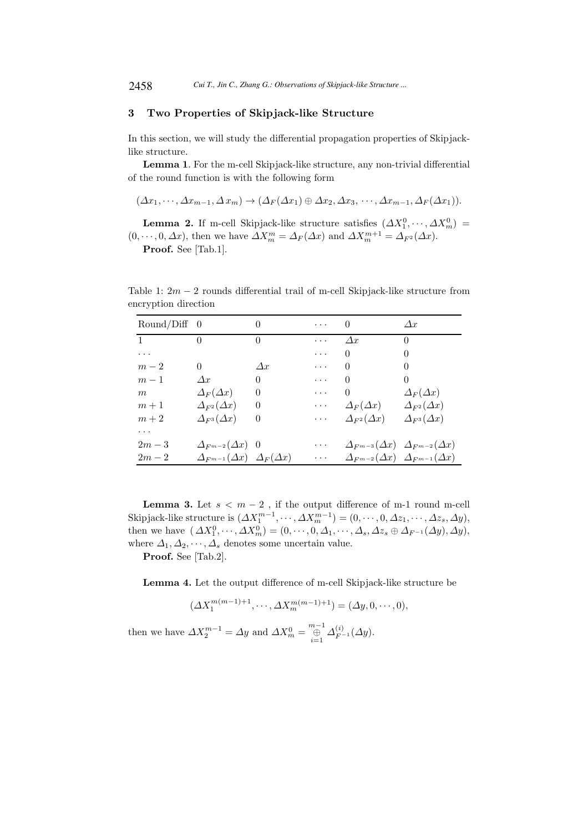## 3 Two Properties of Skipjack-like Structure

In this section, we will study the differential propagation properties of Skipjacklike structure.

Lemma 1. For the m-cell Skipjack-like structure, any non-trivial differential of the round function is with the following form

$$
(\Delta x_1, \cdots, \Delta x_{m-1}, \Delta x_m) \rightarrow (\Delta_F(\Delta x_1) \oplus \Delta x_2, \Delta x_3, \cdots, \Delta x_{m-1}, \Delta_F(\Delta x_1)).
$$

**Lemma 2.** If m-cell Skipjack-like structure satisfies  $(\Delta X_1^0, \dots, \Delta X_m^0)$  $(0, \dots, 0, \Delta x)$ , then we have  $\Delta X_m^m = \Delta_F(\Delta x)$  and  $\Delta X_m^{m+1} = \Delta_{F^2}(\Delta x)$ .

Proof. See [Tab.1].

Table 1:  $2m - 2$  rounds differential trail of m-cell Skipjack-like structure from encryption direction

| $Round/Diff \quad 0$   |                                                 | $\left($   | $\cdots$                                        | $\theta$                 | $\Delta x$                                              |
|------------------------|-------------------------------------------------|------------|-------------------------------------------------|--------------------------|---------------------------------------------------------|
| $1 \quad \blacksquare$ | $\Omega$                                        | $\Omega$   | $\cdots$                                        | $\Delta x$               | $\Omega$                                                |
| $\cdots$               |                                                 |            | $\cdots$                                        | $\Omega$                 | $\Omega$                                                |
| $m-2$                  | $\Omega$                                        | $\Delta x$ | $\cdots$                                        | $\Omega$                 | $\Omega$                                                |
| $m-1$                  | $\Delta x$                                      | $\theta$   | $\cdots$                                        | $\Omega$                 | $\theta$                                                |
| m                      | $\Delta_F(\Delta x)$                            | $\theta$   | $\cdots$                                        | 0                        | $\Delta_F(\Delta x)$                                    |
| $m+1$                  | $\Delta_{F^2}(\Delta x)$                        | $\theta$   | $\cdots$                                        | $\Delta_F(\Delta x)$     | $\Delta_{F^2}(\Delta x)$                                |
| $m+2$                  | $\Delta_{F^3}(\Delta x)$                        | $\theta$   | $\sim$ $\sim$ $\sim$                            | $\Delta_{F^2}(\Delta x)$ | $\Delta_{F^3}(\Delta x)$                                |
| .                      |                                                 |            |                                                 |                          |                                                         |
| $2m-3$                 | $\Delta_{F^{m-2}}(\Delta x)$ 0                  |            | $\cdots$                                        |                          | $\Delta_{F^{m-3}}(\Delta x) \Delta_{F^{m-2}}(\Delta x)$ |
| $2m-2$                 | $\Delta_{F^{m-1}}(\Delta x) \Delta_F(\Delta x)$ |            | $\bullet$ .<br><br><br><br><br><br><br><br><br> |                          | $\Delta_{F^{m-2}}(\Delta x) \Delta_{F^{m-1}}(\Delta x)$ |

**Lemma 3.** Let  $s < m − 2$ , if the output difference of m-1 round m-cell Skipjack-like structure is  $(\Delta X_1^{m-1}, \dots, \Delta X_m^{m-1}) = (0, \dots, 0, \Delta z_1, \dots, \Delta z_s, \Delta y)$ , then we have  $(\Delta X_1^0, \dots, \Delta X_m^0) = (0, \dots, 0, \Delta_1, \dots, \Delta_s, \Delta z_s \oplus \Delta_{F^{-1}}(\Delta y), \Delta y)$ , where  $\Delta_1, \Delta_2, \cdots, \Delta_s$  denotes some uncertain value.

Proof. See [Tab.2].

Lemma 4. Let the output difference of m-cell Skipjack-like structure be

$$
(\Delta X_1^{m(m-1)+1}, \cdots, \Delta X_m^{m(m-1)+1}) = (\Delta y, 0, \cdots, 0),
$$

then we have  $\Delta X_2^{m-1} = \Delta y$  and  $\Delta X_m^0 = \bigoplus_{i=1}^{m-1} \Delta_{F^{-1}}^{(i)}(\Delta y)$ .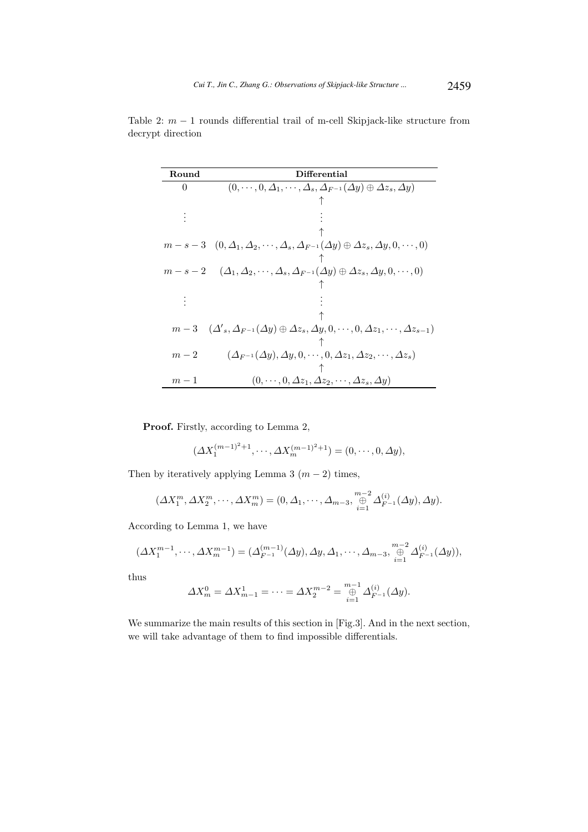| Round    | Differential                                                                                                                       |  |  |
|----------|------------------------------------------------------------------------------------------------------------------------------------|--|--|
| $\Omega$ | $(0,\dots,0,\Delta_1,\dots,\Delta_s,\Delta_{F^{-1}}(\Delta y)\oplus \Delta z_s,\Delta y)$                                          |  |  |
|          |                                                                                                                                    |  |  |
|          |                                                                                                                                    |  |  |
|          |                                                                                                                                    |  |  |
|          | $m-s-3$ $(0, \Delta_1, \Delta_2, \cdots, \Delta_s, \Delta_{F^{-1}}(\Delta y) \oplus \Delta z_s, \Delta y, 0, \cdots, 0)$           |  |  |
|          |                                                                                                                                    |  |  |
| $m-s-2$  | $(\varDelta_1, \varDelta_2, \cdots, \varDelta_s, \varDelta_{F^{-1}}(\varDelta y) \oplus \varDelta z_s, \varDelta y, 0, \cdots, 0)$ |  |  |
|          |                                                                                                                                    |  |  |
|          |                                                                                                                                    |  |  |
|          |                                                                                                                                    |  |  |
|          | $m-3\quad (\Delta'_s, \Delta_{F^{-1}}(\Delta y) \oplus \Delta z_s, \Delta y, 0, \cdots, 0, \Delta z_1, \cdots, \Delta z_{s-1})$    |  |  |
|          |                                                                                                                                    |  |  |
| $m-2$    | $(\Delta_{F^{-1}}(\Delta y), \Delta y, 0, \cdots, 0, \Delta z_1, \Delta z_2, \cdots, \Delta z_s)$                                  |  |  |
|          |                                                                                                                                    |  |  |
| $m-1$    | $(0,\dots,0,\Delta z_1,\Delta z_2,\dots,\Delta z_s,\Delta y)$                                                                      |  |  |

Table 2:  $m - 1$  rounds differential trail of m-cell Skipjack-like structure from decrypt direction

Proof. Firstly, according to Lemma 2,

$$
(\Delta X_1^{(m-1)^2+1}, \cdots, \Delta X_m^{(m-1)^2+1}) = (0, \cdots, 0, \Delta y),
$$

Then by iteratively applying Lemma 3  $(m-2)$  times,

$$
(\Delta X_1^m, \Delta X_2^m, \cdots, \Delta X_m^m) = (0, \Delta_1, \cdots, \Delta_{m-3}, \bigoplus_{i=1}^{m-2} \Delta_{F^{-1}}^{(i)}(\Delta y), \Delta y).
$$

According to Lemma 1, we have

$$
(\Delta X_1^{m-1}, \cdots, \Delta X_m^{m-1}) = (\Delta_{F^{-1}}^{(m-1)}(\Delta y), \Delta y, \Delta_1, \cdots, \Delta_{m-3}, \bigoplus_{i=1}^{m-2} \Delta_{F^{-1}}^{(i)}(\Delta y)),
$$

thus

$$
\Delta X_m^0 = \Delta X_{m-1}^1 = \dots = \Delta X_2^{m-2} = \bigoplus_{i=1}^{m-1} \Delta_{F^{-1}}^{(i)}(\Delta y).
$$

We summarize the main results of this section in [Fig.3]. And in the next section, we will take advantage of them to find impossible differentials.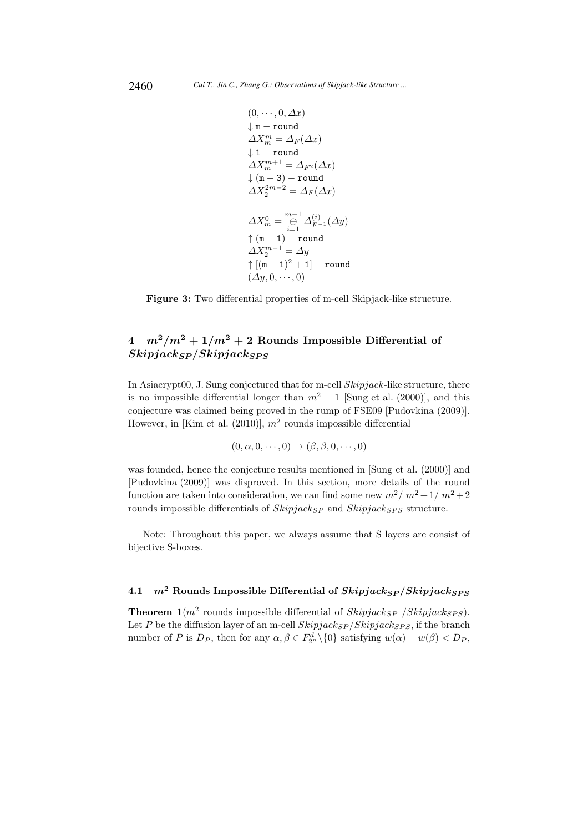$$
\begin{aligned} &(0,\cdots,0,\varDelta x)\\ \downarrow\mathbf{m}-\texttt{round}\\ &\varDelta X^m_m=\varDelta_F(\varDelta x)\\ \downarrow\mathbf{1}-\texttt{round}\\ &\varDelta X^{m+1}_m=\varDelta_{F^2}(\varDelta x)\\ \downarrow(\mathbf{m}-3)-\texttt{round}\\ &\varDelta X^{2m-2}_2=\varDelta_F(\varDelta x)\\ &\varDelta X^0_m=\underset{i=1}{\overset{m-1}{\oplus}}\varDelta^{(i)}_{F^{-1}}(\varDelta y)\\ &\uparrow(\mathbf{m}-1)-\texttt{round}\\ &\varDelta X^{m-1}_2=\varDelta y\\ &\uparrow[(\mathbf{m}-1)^2+1]-\texttt{round}\\ &(\varDelta y,0,\cdots,0)\end{aligned}
$$

Figure 3: Two differential properties of m-cell Skipjack-like structure.

# $4 \frac{m^2}{m^2} + \frac{1}{m^2} + 2$  Rounds Impossible Differential of  $Skipjack_{SP}/Skipjack_{SPS}$

In Asiacrypt00, J. Sung conjectured that for m-cell Skipjack-like structure, there is no impossible differential longer than  $m^2 - 1$  [Sung et al. (2000)], and this conjecture was claimed being proved in the rump of FSE09 [Pudovkina (2009)]. However, in [Kim et al.  $(2010)$ ],  $m<sup>2</sup>$  rounds impossible differential

$$
(0, \alpha, 0, \cdots, 0) \rightarrow (\beta, \beta, 0, \cdots, 0)
$$

was founded, hence the conjecture results mentioned in [Sung et al. (2000)] and [Pudovkina (2009)] was disproved. In this section, more details of the round function are taken into consideration, we can find some new  $m^2/m^2+1/m^2+2$ rounds impossible differentials of  $Skipjack_{SP}$  and  $Skipjack_{SPS}$  structure.

Note: Throughout this paper, we always assume that S layers are consist of bijective S-boxes.

# 4.1  $m^2$  Rounds Impossible Differential of  $Skipjack_{S} P/Skipjack_{SPS}$

**Theorem 1**( $m^2$  rounds impossible differential of  $Skipjack_{SP}$  / $Skipjack_{SPS}$ ). Let P be the diffusion layer of an m-cell  $skipjack_{S}\times p/Skipjack_{SPS}$ , if the branch number of P is  $D_P$ , then for any  $\alpha, \beta \in F_{2^n}^d \setminus \{0\}$  satisfying  $w(\alpha) + w(\beta) < D_P$ ,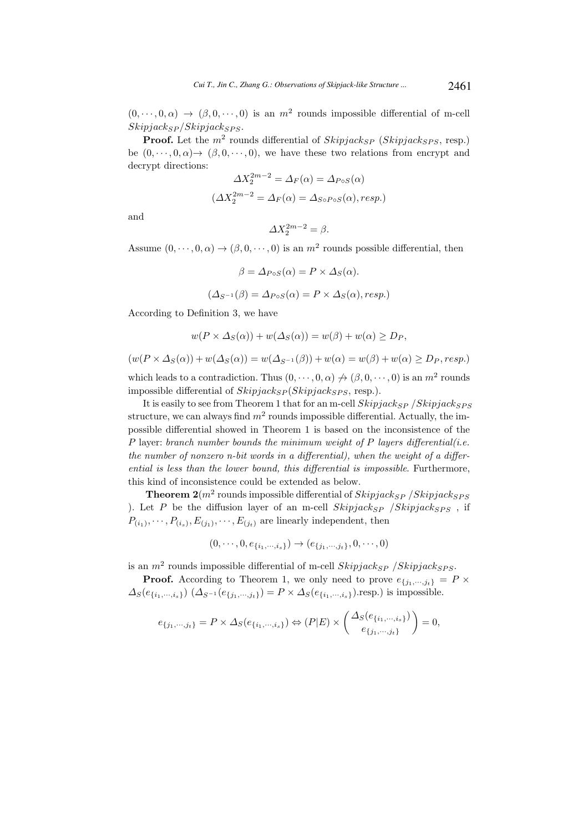$(0, \dots, 0, \alpha) \rightarrow (\beta, 0, \dots, 0)$  is an  $m^2$  rounds impossible differential of m-cell  $Skipjack_{S}P / Skipjack_{SPS}$ .

**Proof.** Let the  $m^2$  rounds differential of  $Skipjack_{SP}$  ( $Skipjack_{SPS}$ , resp.) be  $(0, \dots, 0, \alpha) \rightarrow (\beta, 0, \dots, 0)$ , we have these two relations from encrypt and decrypt directions:

$$
\Delta X_2^{2m-2} = \Delta_F(\alpha) = \Delta_{PoS}(\alpha)
$$

$$
(\Delta X_2^{2m-2} = \Delta_F(\alpha) = \Delta_{SoPoS}(\alpha), resp.)
$$

and

$$
\Delta X_2^{2m-2} = \beta.
$$

Assume  $(0, \dots, 0, \alpha) \to (\beta, 0, \dots, 0)$  is an  $m^2$  rounds possible differential, then

$$
\beta = \Delta_{PoS}(\alpha) = P \times \Delta_S(\alpha).
$$
  

$$
(\Delta_{S^{-1}}(\beta) = \Delta_{PoS}(\alpha) = P \times \Delta_S(\alpha), resp.)
$$

According to Definition 3, we have

$$
w(P \times \Delta_S(\alpha)) + w(\Delta_S(\alpha)) = w(\beta) + w(\alpha) \ge D_P,
$$

 $(w(P \times \Delta_S(\alpha)) + w(\Delta_S(\alpha)) = w(\Delta_{S^{-1}}(\beta)) + w(\alpha) = w(\beta) + w(\alpha) \ge D_P$ , resp.)

which leads to a contradiction. Thus  $(0, \dots, 0, \alpha) \nrightarrow (\beta, 0, \dots, 0)$  is an  $m^2$  rounds impossible differential of  $Skipjack_{SP}(Skipjack_{SPS},$  resp.).

It is easily to see from Theorem 1 that for an m-cell  $skipjack_{S}$  /Skipjack $_{SPS}$ structure, we can always find  $m^2$  rounds impossible differential. Actually, the impossible differential showed in Theorem 1 is based on the inconsistence of the  $P$  layer: branch number bounds the minimum weight of  $P$  layers differential(i.e. the number of nonzero n-bit words in a differential), when the weight of a differential is less than the lower bound, this differential is impossible. Furthermore, this kind of inconsistence could be extended as below.

**Theorem 2**( $m^2$  rounds impossible differential of  $Skipjack_{SP}$  / $Skipjack_{SPS}$ ). Let P be the diffusion layer of an m-cell  $\mathit{Skipjack}_{SP}$  / $\mathit{Skipjack}_{SPS}$ , if  $P_{(i_1)}, \dots, P_{(i_s)}, E_{(j_1)}, \dots, E_{(j_t)}$  are linearly independent, then

$$
(0, \cdots, 0, e_{\{i_1, \cdots, i_s\}}) \rightarrow (e_{\{j_1, \cdots, j_t\}}, 0, \cdots, 0)
$$

is an  $m^2$  rounds impossible differential of m-cell  $Skipjack_{SP}$  /  $Skipjack_{SPS}$ .

**Proof.** According to Theorem 1, we only need to prove  $e_{\{j_1,\dots,j_t\}} = P \times$  $\Delta_S(e_{\{i_1,\dots,i_s\}})$   $(\Delta_{S^{-1}}(e_{\{j_1,\dots,j_t\}}) = P \times \Delta_S(e_{\{i_1,\dots,i_s\}})$ .resp.) is impossible.

$$
e_{\{j_1,\dots,j_t\}} = P \times \Delta_S(e_{\{i_1,\dots,i_s\}}) \Leftrightarrow (P|E) \times \begin{pmatrix} \Delta_S(e_{\{i_1,\dots,i_s\}}) \\ e_{\{j_1,\dots,j_t\}} \end{pmatrix} = 0,
$$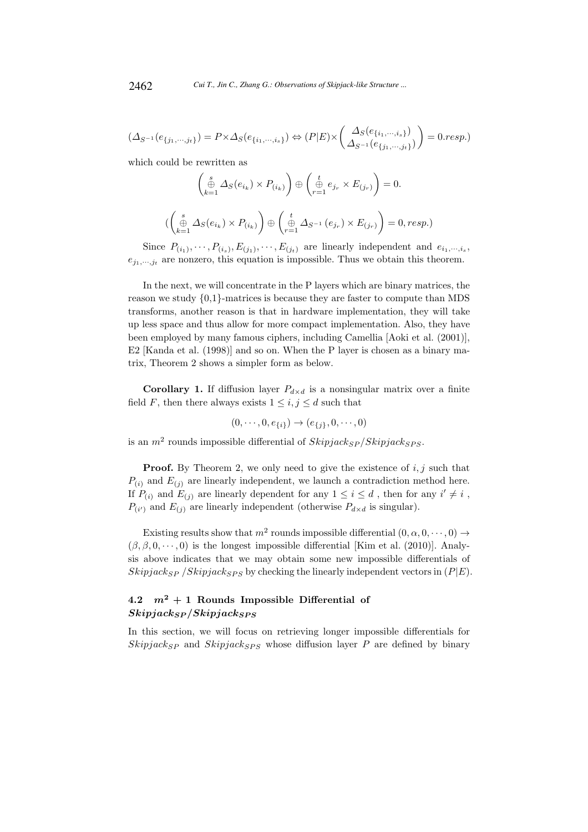$$
(\Delta_{S^{-1}}(e_{\{j_1,\dots,j_t\}}) = P \times \Delta_S(e_{\{i_1,\dots,i_s\}}) \Leftrightarrow (P|E) \times \left(\frac{\Delta_S(e_{\{i_1,\dots,i_s\}})}{\Delta_{S^{-1}}(e_{\{j_1,\dots,j_t\}})}\right) = 0 \cdot resp.)
$$

which could be rewritten as

$$
\begin{pmatrix}\n\stackrel{s}{\oplus} \Delta_S(e_{i_k}) \times P_{(i_k)}\n\end{pmatrix}\n\oplus\n\begin{pmatrix}\n\stackrel{t}{\oplus} e_{j_r} \times E_{(j_r)}\n\end{pmatrix} = 0.
$$
\n
$$
\begin{pmatrix}\n\stackrel{s}{\oplus} \Delta_S(e_{i_k}) \times P_{(i_k)}\n\end{pmatrix}\n\oplus\n\begin{pmatrix}\n\stackrel{t}{\oplus} \Delta_{S^{-1}}(e_{j_r}) \times E_{(j_r)}\n\end{pmatrix} = 0, resp.)
$$

Since  $P_{(i_1)}, \dots, P_{(i_s)}, E_{(j_1)}, \dots, E_{(j_t)}$  are linearly independent and  $e_{i_1,\dots,i_s}$ ,  $e_{j_1,\dots,j_t}$  are nonzero, this equation is impossible. Thus we obtain this theorem.

In the next, we will concentrate in the P layers which are binary matrices, the reason we study {0,1}-matrices is because they are faster to compute than MDS transforms, another reason is that in hardware implementation, they will take up less space and thus allow for more compact implementation. Also, they have been employed by many famous ciphers, including Camellia [Aoki et al. (2001)], E2 [Kanda et al. (1998)] and so on. When the P layer is chosen as a binary matrix, Theorem 2 shows a simpler form as below.

**Corollary 1.** If diffusion layer  $P_{d \times d}$  is a nonsingular matrix over a finite field F, then there always exists  $1 \leq i, j \leq d$  such that

$$
(0, \cdots, 0, e_{\{i\}}) \rightarrow (e_{\{j\}}, 0, \cdots, 0)
$$

is an  $m^2$  rounds impossible differential of  $Skipjack_{SP}/Skipjack_{SPS}$ .

**Proof.** By Theorem 2, we only need to give the existence of  $i, j$  such that  $P_{(i)}$  and  $E_{(i)}$  are linearly independent, we launch a contradiction method here. If  $P_{(i)}$  and  $E_{(j)}$  are linearly dependent for any  $1 \leq i \leq d$ , then for any  $i' \neq i$ ,  $P_{(i')}$  and  $E_{(j)}$  are linearly independent (otherwise  $P_{d \times d}$  is singular).

Existing results show that  $m^2$  rounds impossible differential  $(0, \alpha, 0, \dots, 0) \rightarrow$  $(\beta, \beta, 0, \dots, 0)$  is the longest impossible differential [Kim et al. (2010)]. Analysis above indicates that we may obtain some new impossible differentials of Skipjack<sub>SP</sub> /Skipjack<sub>SPS</sub> by checking the linearly independent vectors in  $(P|E)$ .

# 4.2  $m^2 + 1$  Rounds Impossible Differential of  $Skipjack_{SP}/Skipjack_{SPS}$

In this section, we will focus on retrieving longer impossible differentials for  $Skipjack_{SP}$  and  $Skipjack_{SPS}$  whose diffusion layer P are defined by binary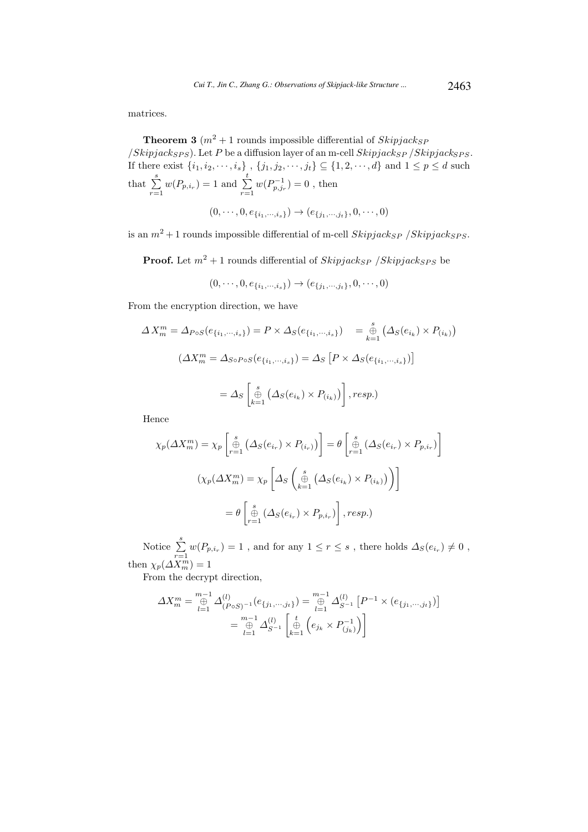matrices.

**Theorem 3** ( $m^2 + 1$  rounds impossible differential of  $Skipjack_{SP}$  $/Skipjack_{SPS}$ ). Let P be a diffusion layer of an m-cell  $Skipjack_{SP} /Skipjack_{SPS}$ . If there exist  $\{i_1, i_2, \dots, i_s\}$ ,  $\{j_1, j_2, \dots, j_t\} \subseteq \{1, 2, \dots, d\}$  and  $1 \leq p \leq d$  such that  $\sum_{r=1}^{s} w(P_{p,i_r}) = 1$  and  $\sum_{r=1}^{t} w(P_{p,j_r}^{-1}) = 0$ , then  $(0, \dots, 0, e_{\{i_1, \dots, i_s\}}) \rightarrow (e_{\{i_1, \dots, i_t\}}, 0, \dots, 0)$ 

is an  $m^2 + 1$  rounds impossible differential of m-cell  $Skipjack_{SP}$  /Skipjack<sub>SPS</sub>.

**Proof.** Let  $m^2 + 1$  rounds differential of  $Skipjack_{SP}$  /Skipjack<sub>SPS</sub> be

$$
(0, \cdots, 0, e_{\{i_1, \cdots, i_s\}}) \rightarrow (e_{\{j_1, \cdots, j_t\}}, 0, \cdots, 0)
$$

From the encryption direction, we have

$$
\Delta X_m^m = \Delta_{Pos}(e_{\{i_1,\dots,i_s\}}) = P \times \Delta_S(e_{\{i_1,\dots,i_s\}}) = \bigoplus_{k=1}^s (\Delta_S(e_{i_k}) \times P_{(i_k)})
$$

$$
(\Delta X_m^m = \Delta_{SoPos}(e_{\{i_1,\dots,i_s\}}) = \Delta_S [P \times \Delta_S(e_{\{i_1,\dots,i_s\}})]
$$

$$
= \Delta_S \left[ \bigoplus_{k=1}^s (\Delta_S(e_{i_k}) \times P_{(i_k)}) \right], resp.)
$$

Hence

$$
\chi_p(\Delta X_m^m) = \chi_p \left[ \stackrel{s}{\underset{r=1}{\oplus}} \left( \Delta_S(e_{i_r}) \times P_{(i_r)} \right) \right] = \theta \left[ \stackrel{s}{\underset{r=1}{\oplus}} \left( \Delta_S(e_{i_r}) \times P_{p,i_r} \right) \right]
$$

$$
\left( \chi_p(\Delta X_m^m) = \chi_p \left[ \Delta_S \left( \stackrel{s}{\underset{k=1}{\oplus}} \left( \Delta_S(e_{i_k}) \times P_{(i_k)} \right) \right) \right]
$$

$$
= \theta \left[ \stackrel{s}{\underset{r=1}{\oplus}} \left( \Delta_S(e_{i_r}) \times P_{p,i_r} \right) \right], resp.)
$$

Notice  $\sum_{r=1}^s w(P_{p,i_r}) = 1$ , and for any  $1 \le r \le s$ , there holds  $\Delta_S(e_{i_r}) \neq 0$ , then  $\chi_p(\Delta X_m^m) = 1$ 

From the decrypt direction,

$$
\Delta X_m^m = \bigoplus_{l=1}^{m-1} \Delta_{(P \circ S)^{-1}}^{(l)}(e_{\{j_1, \dots, j_t\}}) = \bigoplus_{l=1}^{m-1} \Delta_{S^{-1}}^{(l)} [P^{-1} \times (e_{\{j_1, \dots, j_t\}})]
$$

$$
= \bigoplus_{l=1}^{m-1} \Delta_{S^{-1}}^{(l)} \left[ \bigoplus_{k=1}^t \left( e_{j_k} \times P_{(j_k)}^{-1} \right) \right]
$$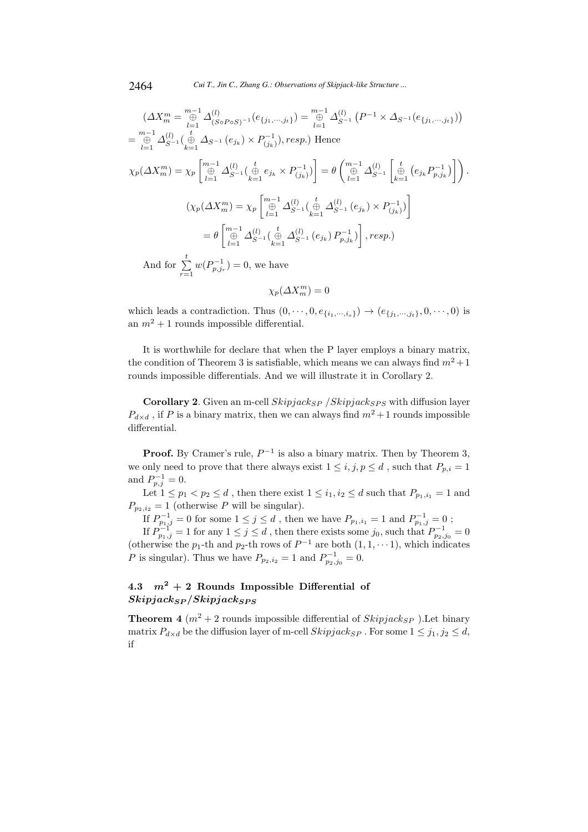$$
\left(\Delta X_m^m = \bigoplus_{l=1}^{m-1} \Delta_{(S \circ P \circ S)^{-1}}^{(l)}(e_{\{j_1, \dots, j_t\}}) = \bigoplus_{l=1}^{m-1} \Delta_{S^{-1}}^{(l)}(P^{-1} \times \Delta_{S^{-1}}(e_{\{j_1, \dots, j_t\}}))\right)
$$
  
\n
$$
= \bigoplus_{l=1}^{m-1} \Delta_{S^{-1}}^{(l)}\left(\bigoplus_{k=1}^t \Delta_{S^{-1}}(e_{j_k}) \times P_{(j_k)}^{-1}\right), resp.)
$$
 Hence  
\n
$$
\chi_p(\Delta X_m^m) = \chi_p\left[\bigoplus_{l=1}^{m-1} \Delta_{S^{-1}}^{(l)}\left(\bigoplus_{k=1}^t e_{j_k} \times P_{(j_k)}^{-1}\right)\right] = \theta\left(\bigoplus_{l=1}^{m-1} \Delta_{S^{-1}}^{(l)}\left[\bigoplus_{k=1}^t (e_{j_k} P_{p,j_k}^{-1})\right]\right).
$$
  
\n
$$
\left(\chi_p(\Delta X_m^m) = \chi_p\left[\bigoplus_{l=1}^{m-1} \Delta_{S^{-1}}^{(l)}\left(\bigoplus_{k=1}^t \Delta_{S^{-1}}^{(l)}(e_{j_k}) \times P_{(j_k)}^{-1}\right)\right]
$$
  
\n
$$
= \theta\left[\bigoplus_{l=1}^{m-1} \Delta_{S^{-1}}^{(l)}\left(\bigoplus_{k=1}^t \Delta_{S^{-1}}^{(l)}(e_{j_k}) P_{p,j_k}^{-1}\right)\right], resp.)
$$
  
\nAnd for  $\sum_{l=1}^t w(P_{p,j_l}^{-1}) = 0$ , we have

 $r=1$  $p, j$ 

 $\chi_p(\Delta X_m^m)=0$ 

which leads a contradiction. Thus  $(0, \dots, 0, e_{\{i_1, \dots, i_s\}}) \rightarrow (e_{\{j_1, \dots, j_t\}}, 0, \dots, 0)$  is an  $m^2 + 1$  rounds impossible differential.

It is worthwhile for declare that when the P layer employs a binary matrix, the condition of Theorem 3 is satisfiable, which means we can always find  $m^2 + 1$ rounds impossible differentials. And we will illustrate it in Corollary 2.

Corollary 2. Given an m-cell  $skipjack_{SP}$  /Skipjack<sub>SPS</sub> with diffusion layer  $P_{d\times d}$ , if P is a binary matrix, then we can always find  $m^2+1$  rounds impossible differential.

**Proof.** By Cramer's rule,  $P^{-1}$  is also a binary matrix. Then by Theorem 3, we only need to prove that there always exist  $1 \leq i, j, p \leq d$ , such that  $P_{p,i} = 1$ and  $P_{p,j}^{-1} = 0$ .

Let  $1 \leq p_1 < p_2 \leq d$ , then there exist  $1 \leq i_1, i_2 \leq d$  such that  $P_{p_1,i_1} = 1$  and  $P_{p_2,i_2} = 1$  (otherwise P will be singular).

If  $P^{-1}_{p_1,j}=0$  for some  $1\leq j\leq d$  , then we have  $P_{p_1,i_1}=1$  and  $P^{-1}_{p_1,j}=0$  ;

If  $P_{p_1,j}^{-1} = 1$  for any  $1 \le j \le d$ , then there exists some  $j_0$ , such that  $P_{p_2,j_0}^{-1} = 0$ (otherwise the  $p_1$ -th and  $p_2$ -th rows of  $P^{-1}$  are both  $(1, 1, \dots 1)$ , which indicates *P* is singular). Thus we have  $P_{p_2,i_2} = 1$  and  $P_{p_2,j_0}^{-1} = 0$ .

# 4.3  $m^2 + 2$  Rounds Impossible Differential of  $Skipjack_{SP}/Skipjack_{SPS}$

**Theorem 4**  $(m^2 + 2$  rounds impossible differential of  $Skipjack_{SP}$  ). Let binary matrix  $P_{d\times d}$  be the diffusion layer of m-cell  $Skipjack_{SP}$ . For some  $1 \leq j_1, j_2 \leq d$ , if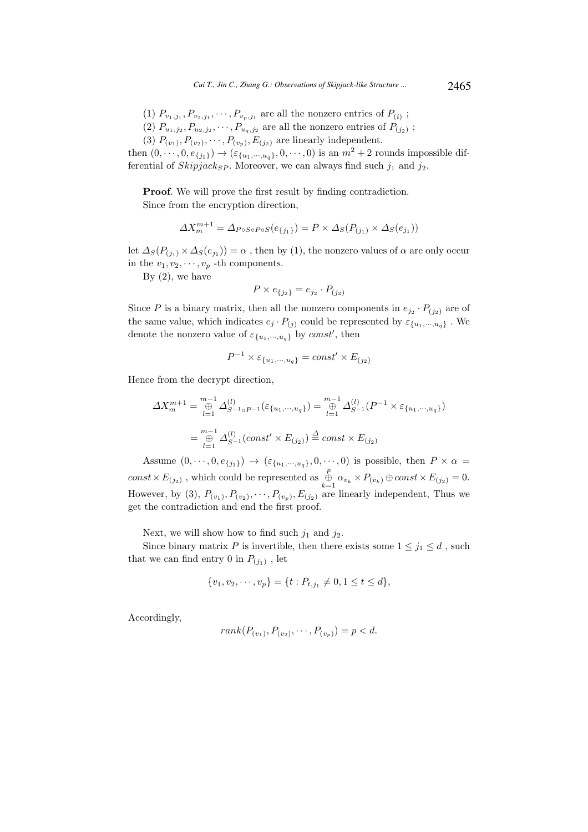- (1)  $P_{v_1,j_1}, P_{v_2,j_1}, \cdots, P_{v_p,j_1}$  are all the nonzero entries of  $P_{(i)}$ ;
- (2)  $P_{u_1, j_2}, P_{u_2, j_2}, \cdots, P_{u_q, j_2}$  are all the nonzero entries of  $P_{(j_2)}$ ;
- (3)  $P_{(v_1)}, P_{(v_2)}, \cdots, P_{(v_p)}, E_{(j_2)}$  are linearly independent.

then  $(0, \dots, 0, e_{\{j_1\}}) \rightarrow (\varepsilon_{\{u_1, \dots, u_q\}}, 0, \dots, 0)$  is an  $m^2 + 2$  rounds impossible differential of  $Skipjack_{SP}$ . Moreover, we can always find such  $j_1$  and  $j_2$ .

Proof. We will prove the first result by finding contradiction. Since from the encryption direction,

$$
\Delta X_m^{m+1} = \Delta_{PoSoPoS}(e_{\{j_1\}}) = P \times \Delta_S(P_{(j_1)} \times \Delta_S(e_{j_1}))
$$

let  $\Delta_S(P_{(j_1)} \times \Delta_S(e_{j_1})) = \alpha$ , then by (1), the nonzero values of  $\alpha$  are only occur in the  $v_1, v_2, \dots, v_p$  -th components.

By  $(2)$ , we have

$$
P \times e_{\{j_2\}} = e_{j_2} \cdot P_{(j_2)}
$$

Since P is a binary matrix, then all the nonzero components in  $e_{j_2} \cdot P_{(j_2)}$  are of the same value, which indicates  $e_j \cdot P_{(j)}$  could be represented by  $\varepsilon_{\{u_1,\dots,u_q\}}$ . We denote the nonzero value of  $\varepsilon_{\{u_1,\cdots,u_q\}}$  by const', then

$$
P^{-1} \times \varepsilon_{\{u_1, \cdots, u_q\}} = const' \times E_{(j_2)}
$$

Hence from the decrypt direction,

$$
\Delta X_m^{m+1} = \bigoplus_{l=1}^{m-1} \Delta_{S^{-1} \circ P^{-1}}^{(l)}(\varepsilon_{\{u_1, \cdots, u_q\}}) = \bigoplus_{l=1}^{m-1} \Delta_{S^{-1}}^{(l)}(P^{-1} \times \varepsilon_{\{u_1, \cdots, u_q\}})
$$

$$
= \bigoplus_{l=1}^{m-1} \Delta_{S^{-1}}^{(l)}(const' \times E_{(j_2)}) \stackrel{\Delta}{=} const \times E_{(j_2)}
$$

Assume  $(0, \dots, 0, e_{\{j_1\}}) \rightarrow (\varepsilon_{\{u_1, \dots, u_q\}}, 0, \dots, 0)$  is possible, then  $P \times \alpha =$  $const \times E_{(j_2)}$ , which could be represented as  $\bigoplus_{k=1}^p \alpha_{v_k} \times P_{(v_k)} \oplus const \times E_{(j_2)} = 0.$ However, by (3),  $P_{(v_1)}, P_{(v_2)}, \cdots, P_{(v_p)}, E_{(j_2)}$  are linearly independent, Thus we get the contradiction and end the first proof.

Next, we will show how to find such  $j_1$  and  $j_2$ .

Since binary matrix P is invertible, then there exists some  $1 \leq j_1 \leq d$ , such that we can find entry 0 in  $P_{(j_1)}$ , let

$$
\{v_1, v_2, \cdots, v_p\} = \{t : P_{t,j_1} \neq 0, 1 \le t \le d\},\
$$

Accordingly,

$$
rank(P_{(v_1)}, P_{(v_2)}, \cdots, P_{(v_p)}) = p < d.
$$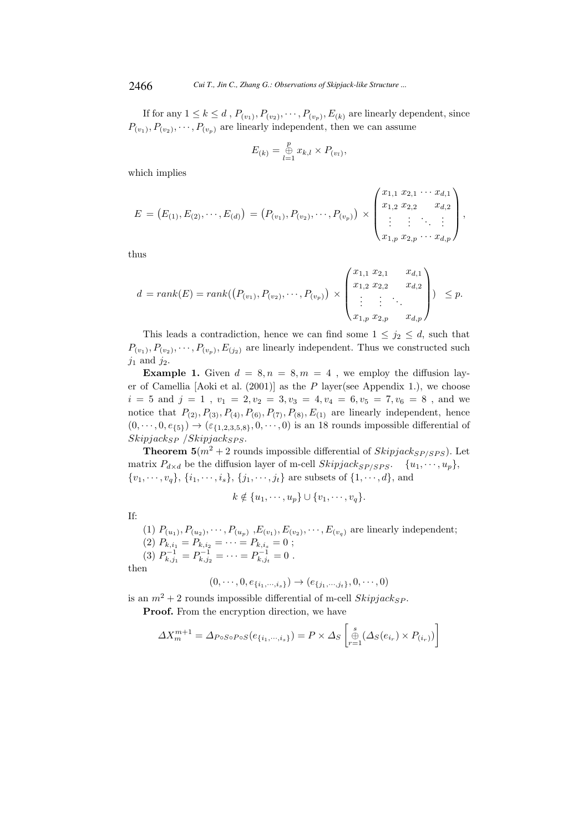If for any  $1 \leq k \leq d$ ,  $P_{(v_1)}, P_{(v_2)}, \cdots, P_{(v_p)}, E_{(k)}$  are linearly dependent, since  $P_{(v_1)}, P_{(v_2)}, \cdots, P_{(v_p)}$  are linearly independent, then we can assume

$$
E_{(k)} = \mathop{\oplus}\limits_{l=1}^p x_{k,l} \times P_{(v_l)},
$$

which implies

$$
E = (E_{(1)}, E_{(2)}, \cdots, E_{(d)}) = (P_{(v_1)}, P_{(v_2)}, \cdots, P_{(v_p)}) \times \begin{pmatrix} x_{1,1} & x_{2,1} & \cdots & x_{d,1} \\ x_{1,2} & x_{2,2} & \cdots & x_{d,2} \\ \vdots & \vdots & \ddots & \vdots \\ x_{1,p} & x_{2,p} & \cdots & x_{d,p} \end{pmatrix},
$$

thus

$$
d = rank(E) = rank(\left(P_{(v_1)}, P_{(v_2)}, \cdots, P_{(v_p)}\right) \times \begin{pmatrix} x_{1,1} & x_{2,1} & x_{d,1} \\ x_{1,2} & x_{2,2} & x_{d,2} \\ \vdots & \vdots & \ddots \\ x_{1,p} & x_{2,p} & x_{d,p} \end{pmatrix}) \le p.
$$

This leads a contradiction, hence we can find some  $1 \leq j_2 \leq d$ , such that  $P_{(v_1)}, P_{(v_2)}, \dots, P_{(v_p)}, E_{(j_2)}$  are linearly independent. Thus we constructed such  $j_1$  and  $j_2$ .

**Example 1.** Given  $d = 8, n = 8, m = 4$ , we employ the diffusion layer of Camellia [Aoki et al.  $(2001)$ ] as the P layer(see Appendix 1.), we choose  $i = 5$  and  $j = 1$ ,  $v_1 = 2, v_2 = 3, v_3 = 4, v_4 = 6, v_5 = 7, v_6 = 8$ , and we notice that  $P_{(2)}, P_{(3)}, P_{(4)}, P_{(6)}, P_{(7)}, P_{(8)}, E_{(1)}$  are linearly independent, hence  $(0, \dots, 0, e_{\{5\}}) \rightarrow (\varepsilon_{\{1,2,3,5,8\}}, 0, \dots, 0)$  is an 18 rounds impossible differential of  $Skipjack_{SP}$  /Skipjack<sub>SPS</sub>.

**Theorem 5** $(m^2 + 2$  rounds impossible differential of  $Skipjack_{SP/SPS}$ ). Let matrix  $P_{d\times d}$  be the diffusion layer of m-cell  $Skipjack_{SP/SPS}$ .  $\{u_1, \dots, u_p\}$ ,  $\{v_1, \dots, v_q\}, \{i_1, \dots, i_s\}, \{j_1, \dots, j_t\}$  are subsets of  $\{1, \dots, d\}$ , and

$$
k \notin \{u_1, \cdots, u_p\} \cup \{v_1, \cdots, v_q\}.
$$

If:

(1)  $P_{(u_1)}, P_{(u_2)}, \cdots, P_{(u_p)}, E_{(v_1)}, E_{(v_2)}, \cdots, E_{(v_q)}$  are linearly independent; (2)  $P_{k,i_1} = P_{k,i_2} = \cdots = P_{k,i_s} = 0;$ (3)  $P_{k,j_1}^{-1} = P_{k,j_2}^{-1} = \cdots = P_{k,j_t}^{-1} = 0$ .

then

$$
(0,\cdots,0,e_{\{i_1,\cdots,i_s\}}) \to (e_{\{j_1,\cdots,j_t\}},0,\cdots,0)
$$

is an  $m^2 + 2$  rounds impossible differential of m-cell  $Skipjack_{SP}$ .

Proof. From the encryption direction, we have

$$
\Delta X_m^{m+1} = \Delta_{Pos \circ Pos}(e_{\{i_1, \cdots, i_s\}}) = P \times \Delta_S \left[ \underset{r=1}{\overset{s}{\oplus}} (\Delta_S(e_{i_r}) \times P_{(i_r)}) \right]
$$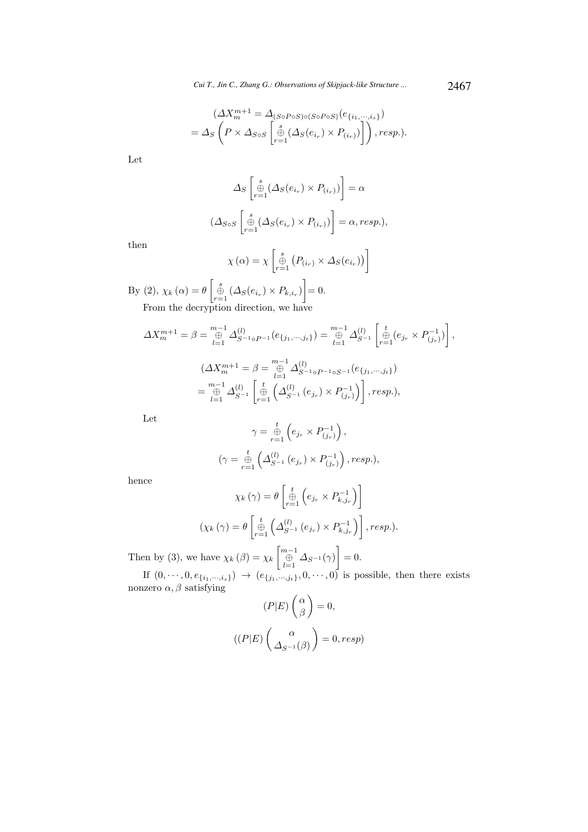$$
(\Delta X_m^{m+1} = \Delta_{(S \circ P \circ S) \circ (S \circ P \circ S)}(e_{\{i_1, \dots, i_s\}})
$$
  
=  $\Delta_S \left( P \times \Delta_{S \circ S} \left[ \bigoplus_{r=1}^s (\Delta_S(e_{i_r}) \times P_{(i_r)}) \right] \right)$ , resp.).

Let

$$
\Delta_S \left[ \bigoplus_{r=1}^s (\Delta_S(e_{i_r}) \times P_{(i_r)}) \right] = \alpha
$$
  

$$
(\Delta_{S \circ S} \left[ \bigoplus_{r=1}^s (\Delta_S(e_{i_r}) \times P_{(i_r)}) \right] = \alpha, resp.),
$$

then

$$
\chi(\alpha) = \chi \left[ \underset{r=1}{\overset{s}{\oplus}} \left( P_{(i_r)} \times \Delta_S(e_{i_r}) \right) \right]
$$

By (2),  $\chi_k(\alpha) = \theta \left[ \bigoplus_{r=1}^s (\Delta_s(e_{i_r}) \times P_{k,i_r}) \right] = 0.$ From the decryption direction, we have

$$
\Delta X_m^{m+1} = \beta = \bigoplus_{l=1}^{m-1} \Delta_{S^{-1}\circ P^{-1}}^{(l)}(e_{\{j_1,\dots,j_t\}}) = \bigoplus_{l=1}^{m-1} \Delta_{S^{-1}}^{(l)}\left[\bigoplus_{r=1}^t (e_{j_r} \times P_{(j_r)}^{-1})\right],
$$
  

$$
(\Delta X_m^{m+1} = \beta = \bigoplus_{l=1}^{m-1} \Delta_{S^{-1}\circ P^{-1}\circ S^{-1}}^{(l)}(e_{\{j_1,\dots,j_t\}})
$$

$$
= \bigoplus_{l=1}^{m-1} \Delta_{S^{-1}}^{(l)}\left[\bigoplus_{r=1}^t \left(\Delta_{S^{-1}}^{(l)}(e_{j_r}) \times P_{(j_r)}^{-1}\right)\right], resp.),
$$

Let

$$
\gamma = \bigoplus_{r=1}^{t} \left( e_{j_r} \times P_{(j_r)}^{-1} \right),
$$
  

$$
(\gamma = \bigoplus_{r=1}^{t} \left( \Delta_{S^{-1}}^{(l)} (e_{j_r}) \times P_{(j_r)}^{-1} \right), resp.),
$$

hence

$$
\chi_{k}(\gamma) = \theta \left[ \bigoplus_{r=1}^{t} \left( e_{j_{r}} \times P_{k,j_{r}}^{-1} \right) \right]
$$

$$
(\chi_{k}(\gamma) = \theta \left[ \bigoplus_{r=1}^{t} \left( \Delta_{S^{-1}}^{(l)} \left( e_{j_{r}} \right) \times P_{k,j_{r}}^{-1} \right) \right], resp.).
$$

Then by (3), we have  $\chi_k(\beta) = \chi_k \begin{bmatrix} m-1 \\ \bigoplus_{l=1}^{m-1} \Delta_{S^{-1}}(\gamma) \end{bmatrix} = 0.$ 

If  $(0, \dots, 0, e_{\{i_1,\dots, i_s\}}) \rightarrow (e_{\{j_1,\dots, j_t\}}, 0, \dots, 0)$  is possible, then there exists nonzero  $\alpha, \beta$  satisfying

$$
(P|E)\binom{\alpha}{\beta} = 0,
$$

$$
((P|E)\binom{\alpha}{\Delta_{S^{-1}}(\beta)} = 0, resp)
$$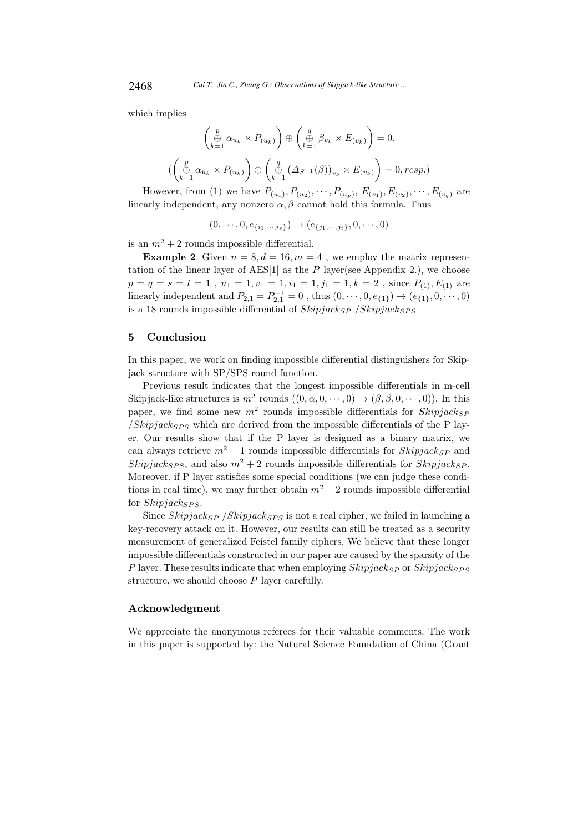which implies

$$
\begin{pmatrix}\np \\
\bigoplus_{k=1}^p \alpha_{u_k} \times P_{(u_k)}\n\end{pmatrix} \oplus \begin{pmatrix}\nq \\
\bigoplus_{k=1}^q \beta_{v_k} \times E_{(v_k)}\n\end{pmatrix} = 0.
$$
\n
$$
\begin{pmatrix}\np \\
\bigoplus_{k=1}^p \alpha_{u_k} \times P_{(u_k)}\n\end{pmatrix} \oplus \begin{pmatrix}\nq \\
\bigoplus_{k=1}^q (\Delta_{S^{-1}}(\beta))_{v_k} \times E_{(v_k)}\n\end{pmatrix} = 0, resp.)
$$

However, from (1) we have  $P_{(u_1)}, P_{(u_2)}, \cdots, P_{(u_p)}, E_{(v_1)}, E_{(v_2)}, \cdots, E_{(v_q)}$  are linearly independent, any nonzero  $\alpha, \beta$  cannot hold this formula. Thus

 $(0, \dots, 0, e_{\{i_1, \dots, i_s\}}) \rightarrow (e_{\{i_1, \dots, i_t\}}, 0, \dots, 0)$ 

is an  $m^2 + 2$  rounds impossible differential.

**Example 2.** Given  $n = 8, d = 16, m = 4$ , we employ the matrix representation of the linear layer of  $\text{AES}[1]$  as the P layer(see Appendix 2.), we choose  $p = q = s = t = 1$ ,  $u_1 = 1, v_1 = 1, i_1 = 1, j_1 = 1, k = 2$ , since  $P_{(1)}, E_{(1)}$  are linearly independent and  $P_{2,1} = P_{2,1}^{-1} = 0$ , thus  $(0, \dots, 0, e_{\{1\}}) \rightarrow (e_{\{1\}}, 0, \dots, 0)$ is a 18 rounds impossible differential of  $skipjack_{SP}$  /Skipjack<sub>SPS</sub>

#### 5 Conclusion

In this paper, we work on finding impossible differential distinguishers for Skipjack structure with SP/SPS round function.

Previous result indicates that the longest impossible differentials in m-cell Skipjack-like structures is  $m^2$  rounds  $((0, \alpha, 0, \dots, 0) \rightarrow (\beta, \beta, 0, \dots, 0))$ . In this paper, we find some new  $m^2$  rounds impossible differentials for  $Skipjack_{SP}$  $/Skipjack_{SPS}$  which are derived from the impossible differentials of the P layer. Our results show that if the P layer is designed as a binary matrix, we can always retrieve  $m^2 + 1$  rounds impossible differentials for  $Skipiack_{SP}$  and Skipjack<sub>SPS</sub>, and also  $m^2 + 2$  rounds impossible differentials for Skipjack<sub>SP</sub>. Moreover, if P layer satisfies some special conditions (we can judge these conditions in real time), we may further obtain  $m^2 + 2$  rounds impossible differential for  $Skipjack_{SPS}$ .

Since Skipjack<sub>SP</sub> /Skipjack<sub>SPS</sub> is not a real cipher, we failed in launching a key-recovery attack on it. However, our results can still be treated as a security measurement of generalized Feistel family ciphers. We believe that these longer impossible differentials constructed in our paper are caused by the sparsity of the P layer. These results indicate that when employing  $skipi>$  skipjack<sub>SPS</sub> structure, we should choose P layer carefully.

### Acknowledgment

We appreciate the anonymous referees for their valuable comments. The work in this paper is supported by: the Natural Science Foundation of China (Grant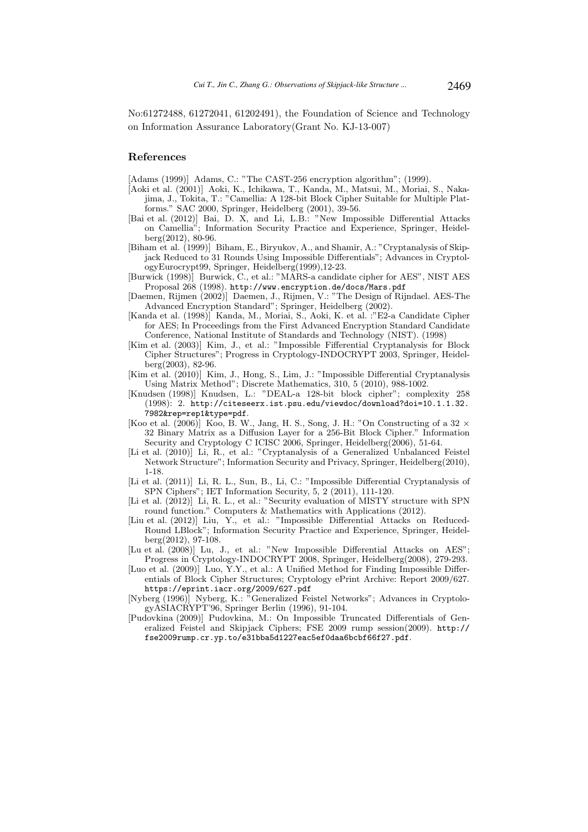No:61272488, 61272041, 61202491), the Foundation of Science and Technology on Information Assurance Laboratory(Grant No. KJ-13-007)

### References

[Adams (1999)] Adams, C.: "The CAST-256 encryption algorithm"; (1999).

- [Aoki et al. (2001)] Aoki, K., Ichikawa, T., Kanda, M., Matsui, M., Moriai, S., Nakajima, J., Tokita, T.: "Camellia: A 128-bit Block Cipher Suitable for Multiple Platforms." SAC 2000, Springer, Heidelberg (2001), 39-56.
- [Bai et al. (2012)] Bai, D. X, and Li, L.B.: "New Impossible Differential Attacks on Camellia"; Information Security Practice and Experience, Springer, Heidelberg(2012), 80-96.
- [Biham et al. (1999)] Biham, E., Biryukov, A., and Shamir, A.: "Cryptanalysis of Skipjack Reduced to 31 Rounds Using Impossible Differentials"; Advances in CryptologyEurocrypt99, Springer, Heidelberg(1999),12-23.
- [Burwick (1998)] Burwick, C., et al.: "MARS-a candidate cipher for AES", NIST AES Proposal 268 (1998). http://www.encryption.de/docs/Mars.pdf
- [Daemen, Rijmen (2002)] Daemen, J., Rijmen, V.: "The Design of Rijndael. AES-The Advanced Encryption Standard"; Springer, Heidelberg (2002).
- [Kanda et al. (1998)] Kanda, M., Moriai, S., Aoki, K. et al. :"E2-a Candidate Cipher for AES; In Proceedings from the First Advanced Encryption Standard Candidate Conference, National Institute of Standards and Technology (NIST). (1998)
- [Kim et al. (2003)] Kim, J., et al.: "Impossible Fifferential Cryptanalysis for Block Cipher Structures"; Progress in Cryptology-INDOCRYPT 2003, Springer, Heidelberg(2003), 82-96.
- [Kim et al. (2010)] Kim, J., Hong, S., Lim, J.: "Impossible Differential Cryptanalysis Using Matrix Method"; Discrete Mathematics, 310, 5 (2010), 988-1002.
- [Knudsen (1998)] Knudsen, L.: "DEAL-a 128-bit block cipher"; complexity 258 (1998): 2. http://citeseerx.ist.psu.edu/viewdoc/download?doi=10.1.1.32. 7982&rep=rep1&type=pdf.
- [Koo et al. (2006)] Koo, B. W., Jang, H. S., Song, J. H.: "On Constructing of a 32  $\times$ 32 Binary Matrix as a Diffusion Layer for a 256-Bit Block Cipher." Information Security and Cryptology C ICISC 2006, Springer, Heidelberg(2006), 51-64.
- [Li et al. (2010)] Li, R., et al.: "Cryptanalysis of a Generalized Unbalanced Feistel Network Structure"; Information Security and Privacy, Springer, Heidelberg(2010), 1-18.
- [Li et al. (2011)] Li, R. L., Sun, B., Li, C.: "Impossible Differential Cryptanalysis of SPN Ciphers"; IET Information Security, 5, 2 (2011), 111-120.
- [Li et al. (2012)] Li, R. L., et al.: "Security evaluation of MISTY structure with SPN round function." Computers & Mathematics with Applications (2012).
- [Liu et al. (2012)] Liu, Y., et al.: "Impossible Differential Attacks on Reduced-Round LBlock"; Information Security Practice and Experience, Springer, Heidelberg(2012), 97-108.
- [Lu et al. (2008)] Lu, J., et al.: "New Impossible Differential Attacks on AES": Progress in Cryptology-INDOCRYPT 2008, Springer, Heidelberg(2008), 279-293.
- [Luo et al. (2009)] Luo, Y.Y., et al.: A Unified Method for Finding Impossible Differentials of Block Cipher Structures; Cryptology ePrint Archive: Report 2009/627. https://eprint.iacr.org/2009/627.pdf
- [Nyberg (1996)] Nyberg, K.: "Generalized Feistel Networks"; Advances in CryptologyASIACRYPT'96, Springer Berlin (1996), 91-104.
- [Pudovkina (2009)] Pudovkina, M.: On Impossible Truncated Differentials of Generalized Feistel and Skipjack Ciphers; FSE 2009 rump session(2009). http:// fse2009rump.cr.yp.to/e31bba5d1227eac5ef0daa6bcbf66f27.pdf.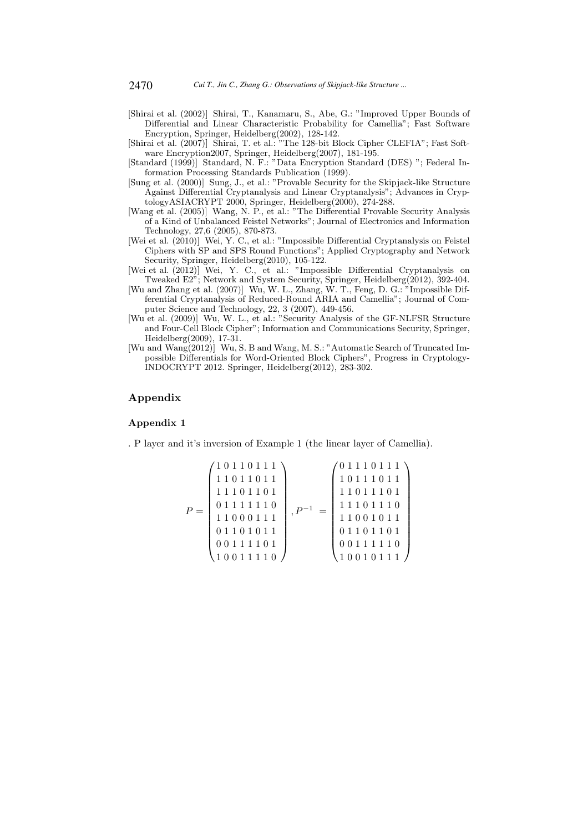- [Shirai et al. (2002)] Shirai, T., Kanamaru, S., Abe, G.: "Improved Upper Bounds of Differential and Linear Characteristic Probability for Camellia"; Fast Software Encryption, Springer, Heidelberg(2002), 128-142.
- [Shirai et al. (2007)] Shirai, T. et al.: "The 128-bit Block Cipher CLEFIA"; Fast Software Encryption2007, Springer, Heidelberg(2007), 181-195.
- [Standard (1999)] Standard, N. F.: "Data Encryption Standard (DES) "; Federal Information Processing Standards Publication (1999).
- [Sung et al. (2000)] Sung, J., et al.: "Provable Security for the Skipjack-like Structure Against Differential Cryptanalysis and Linear Cryptanalysis"; Advances in CryptologyASIACRYPT 2000, Springer, Heidelberg(2000), 274-288.
- [Wang et al. (2005)] Wang, N. P., et al.: "The Differential Provable Security Analysis of a Kind of Unbalanced Feistel Networks"; Journal of Electronics and Information Technology, 27,6 (2005), 870-873.
- [Wei et al.  $(2010)$ ] Wei, Y. C., et al.: "Impossible Differential Cryptanalysis on Feistel Ciphers with SP and SPS Round Functions"; Applied Cryptography and Network Security, Springer, Heidelberg(2010), 105-122.
- [Wei et al. (2012)] Wei, Y. C., et al.: "Impossible Differential Cryptanalysis on Tweaked E2"; Network and System Security, Springer, Heidelberg(2012), 392-404.
- [Wu and Zhang et al. (2007)] Wu, W. L., Zhang, W. T., Feng, D. G.: "Impossible Differential Cryptanalysis of Reduced-Round ARIA and Camellia"; Journal of Computer Science and Technology, 22, 3 (2007), 449-456.
- [Wu et al. (2009)] Wu, W. L., et al.: "Security Analysis of the GF-NLFSR Structure and Four-Cell Block Cipher"; Information and Communications Security, Springer, Heidelberg(2009), 17-31.
- [Wu and Wang(2012)] Wu, S. B and Wang, M. S.: "Automatic Search of Truncated Impossible Differentials for Word-Oriented Block Ciphers", Progress in Cryptology-INDOCRYPT 2012. Springer, Heidelberg(2012), 283-302.

## Appendix

### Appendix 1

. P layer and it's inversion of Example 1 (the linear layer of Camellia).

P = 1 0 1 1 0 1 1 1 1 1 0 1 1 0 1 1 1 1 1 0 1 1 0 1 0 1 1 1 1 1 1 0 1 1 0 0 0 1 1 1 0 1 1 0 1 0 1 1 0 0 1 1 1 1 0 1 1 0 0 1 1 1 1 0 , P <sup>−</sup><sup>1</sup> = 0 1 1 1 0 1 1 1 1 0 1 1 1 0 1 1 1 1 0 1 1 1 0 1 1 1 1 0 1 1 1 0 1 1 0 0 1 0 1 1 0 1 1 0 1 1 0 1 0 0 1 1 1 1 1 0 1 0 0 1 0 1 1 1